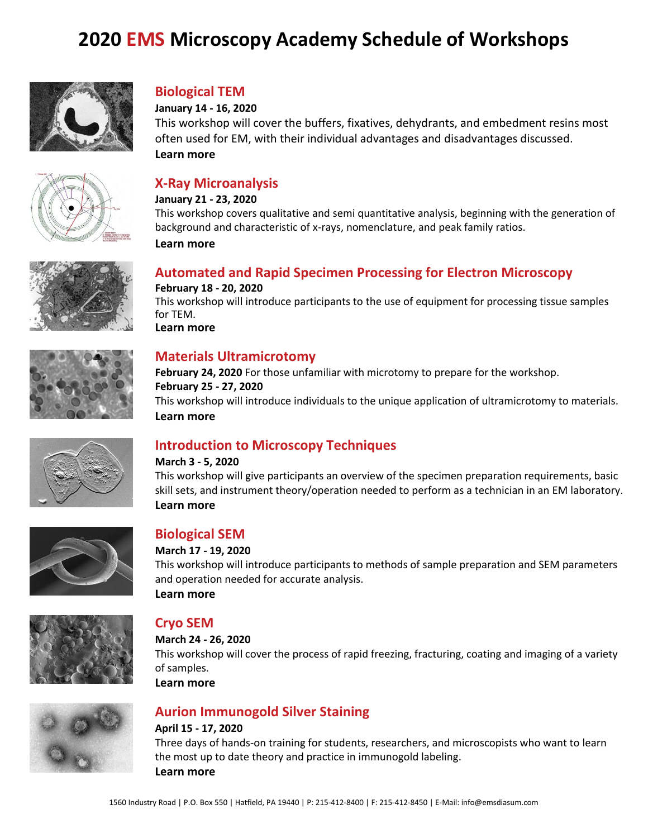# **2020 EMS Microscopy Academy Schedule of Workshops**



### **Biological TEM**

#### **January 14 - 16, 2020**

This workshop will cover the buffers, fixatives, dehydrants, and embedment resins most often used for EM, with their individual advantages and disadvantages discussed. **[Learn more](https://www.emsmicroscopyacademy.com/product-page/biotem-jan20)**





#### **January 21 - 23, 2020**

This workshop covers qualitative and semi quantitative analysis, beginning with the generation of background and characteristic of x-rays, nomenclature, and peak family ratios.

**[Learn more](https://www.emsmicroscopyacademy.com/product-page/xray-jan20)**





#### **Automated and Rapid [Specimen Processing for Electron Microscopy](https://www.emsmicroscopyacademy.com/product-page/auto) February 18 - 20, 2020**

This workshop will introduce participants to the use of equipment for processing tissue samples for TEM. **[Learn more](https://www.emsmicroscopyacademy.com/product-page/auto-feb20)**

### **Materials Ultramicrotomy**

**February 24, 2020** For those unfamiliar with microtomy to prepare for the workshop. **February 25 - 27, 2020**  This workshop will introduce individuals to the unique application of ultramicrotomy to materials. **[Learn more](https://www.emsmicroscopyacademy.com/product-page/materials-feb20)**



### **Introduction to Microscopy Techniques**

#### **March 3 - 5, 2020**

This workshop will give participants an overview of the specimen preparation requirements, basic skill sets, and instrument theory/operation needed to perform as a technician in an EM laboratory. **[Learn more](https://www.emsmicroscopyacademy.com/product-page/intro-mar20)**



### **Biological SEM**

#### **March 17 - 19, 2020**

This workshop will introduce participants to methods of sample preparation and SEM parameters and operation needed for accurate analysis. **[Learn more](https://www.emsmicroscopyacademy.com/product-page/biosem-mar20)**



### **Cryo SEM**

**March 24 - 26, 2020** 

This workshop will cover the process of rapid freezing, fracturing, coating and imaging of a variety of samples.

**[Learn more](https://www.emsmicroscopyacademy.com/product-page/cryosem-mar20)**

## **Aurion Immunogold Silver Staining**

#### **April 15 - 17, 2020**

Three days of hands-on training for students, researchers, and microscopists who want to learn the most up to date theory and practice in immunogold labeling. **[Learn more](https://www.emsmicroscopyacademy.com/product-page/immunogold-apr20)**

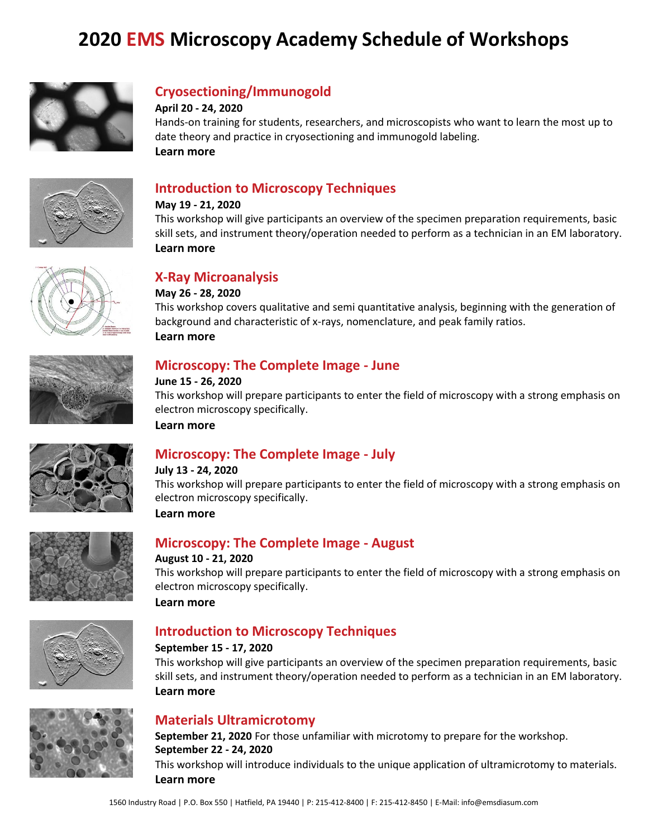# **2020 EMS Microscopy Academy Schedule of Workshops**



### **Cryosectioning/Immunogold**

#### **April 20 - 24, 2020**

Hands-on training for students, researchers, and microscopists who want to learn the most up to date theory and practice in cryosectioning and immunogold labeling. **[Learn more](https://www.emsmicroscopyacademy.com/product-page/cryoimmuno-apr20)**



### **Introduction to Microscopy Techniques**

#### **May 19 - 21, 2020**

This workshop will give participants an overview of the specimen preparation requirements, basic skill sets, and instrument theory/operation needed to perform as a technician in an EM laboratory. **[Learn more](https://www.emsmicroscopyacademy.com/product-page/intro-may20)**



### **X-Ray Microanalysis**

#### **May 26 - 28, 2020**

This workshop covers qualitative and semi quantitative analysis, beginning with the generation of background and characteristic of x-rays, nomenclature, and peak family ratios. **[Learn more](https://www.emsmicroscopyacademy.com/product-page/xray-may20)**



### **Microscopy: The Complete Image - June**

#### **June 15 - 26, 2020**

This workshop will prepare participants to enter the field of microscopy with a strong emphasis on electron microscopy specifically.

**[Learn more](https://www.emsmicroscopyacademy.com/product-page/completeimage-jun20)**

### **Microscopy: The Complete Image - July**

#### **July 13 - 24, 2020**

This workshop will prepare participants to enter the field of microscopy with a strong emphasis on electron microscopy specifically.

**[Learn more](https://www.emsmicroscopyacademy.com/product-page/completeimage-jul20)**



### **Microscopy: The Complete Image - August**

#### **August 10 - 21, 2020**

This workshop will prepare participants to enter the field of microscopy with a strong emphasis on electron microscopy specifically.

**[Learn more](https://www.emsmicroscopyacademy.com/product-page/completeimage-aug20)**





### **Introduction to Microscopy Techniques**

#### **September 15 - 17, 2020**

This workshop will give participants an overview of the specimen preparation requirements, basic skill sets, and instrument theory/operation needed to perform as a technician in an EM laboratory. **[Learn more](https://www.emsmicroscopyacademy.com/product-page/intro-sep20)**

### **Materials Ultramicrotomy**

**September 21, 2020** For those unfamiliar with microtomy to prepare for the workshop. **September 22 - 24, 2020** This workshop will introduce individuals to the unique application of ultramicrotomy to materials. **[Learn more](https://www.emsmicroscopyacademy.com/product-page/materials-sep20)**